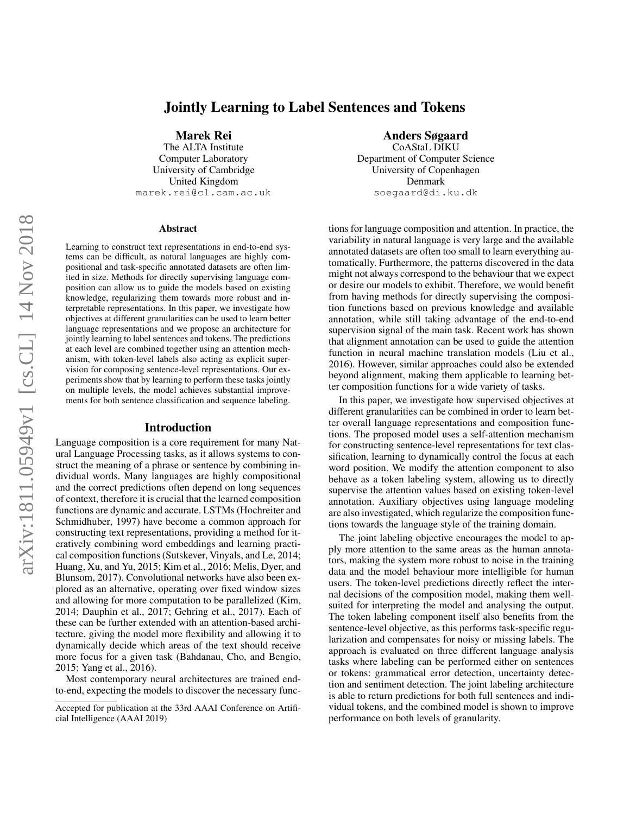# Jointly Learning to Label Sentences and Tokens

Marek Rei

The ALTA Institute Computer Laboratory University of Cambridge United Kingdom marek.rei@cl.cam.ac.uk

#### Abstract

Learning to construct text representations in end-to-end systems can be difficult, as natural languages are highly compositional and task-specific annotated datasets are often limited in size. Methods for directly supervising language composition can allow us to guide the models based on existing knowledge, regularizing them towards more robust and interpretable representations. In this paper, we investigate how objectives at different granularities can be used to learn better language representations and we propose an architecture for jointly learning to label sentences and tokens. The predictions at each level are combined together using an attention mechanism, with token-level labels also acting as explicit supervision for composing sentence-level representations. Our experiments show that by learning to perform these tasks jointly on multiple levels, the model achieves substantial improvements for both sentence classification and sequence labeling.

#### Introduction

Language composition is a core requirement for many Natural Language Processing tasks, as it allows systems to construct the meaning of a phrase or sentence by combining individual words. Many languages are highly compositional and the correct predictions often depend on long sequences of context, therefore it is crucial that the learned composition functions are dynamic and accurate. LSTMs [\(Hochreiter and](#page-7-0) [Schmidhuber, 1997\)](#page-7-0) have become a common approach for constructing text representations, providing a method for iteratively combining word embeddings and learning practical composition functions [\(Sutskever, Vinyals, and Le, 2014;](#page-7-1) [Huang, Xu, and Yu, 2015;](#page-7-2) [Kim et al., 2016;](#page-7-3) [Melis, Dyer, and](#page-7-4) [Blunsom, 2017\)](#page-7-4). Convolutional networks have also been explored as an alternative, operating over fixed window sizes and allowing for more computation to be parallelized [\(Kim,](#page-7-5) [2014;](#page-7-5) [Dauphin et al., 2017;](#page-7-6) [Gehring et al., 2017\)](#page-7-7). Each of these can be further extended with an attention-based architecture, giving the model more flexibility and allowing it to dynamically decide which areas of the text should receive more focus for a given task [\(Bahdanau, Cho, and Bengio,](#page-6-0) [2015;](#page-6-0) [Yang et al., 2016\)](#page-7-8).

Most contemporary neural architectures are trained endto-end, expecting the models to discover the necessary func-

# Anders Søgaard

CoAStaL DIKU Department of Computer Science University of Copenhagen Denmark soegaard@di.ku.dk

tions for language composition and attention. In practice, the variability in natural language is very large and the available annotated datasets are often too small to learn everything automatically. Furthermore, the patterns discovered in the data might not always correspond to the behaviour that we expect or desire our models to exhibit. Therefore, we would benefit from having methods for directly supervising the composition functions based on previous knowledge and available annotation, while still taking advantage of the end-to-end supervision signal of the main task. Recent work has shown that alignment annotation can be used to guide the attention function in neural machine translation models [\(Liu et al.,](#page-7-9) [2016\)](#page-7-9). However, similar approaches could also be extended beyond alignment, making them applicable to learning better composition functions for a wide variety of tasks.

In this paper, we investigate how supervised objectives at different granularities can be combined in order to learn better overall language representations and composition functions. The proposed model uses a self-attention mechanism for constructing sentence-level representations for text classification, learning to dynamically control the focus at each word position. We modify the attention component to also behave as a token labeling system, allowing us to directly supervise the attention values based on existing token-level annotation. Auxiliary objectives using language modeling are also investigated, which regularize the composition functions towards the language style of the training domain.

The joint labeling objective encourages the model to apply more attention to the same areas as the human annotators, making the system more robust to noise in the training data and the model behaviour more intelligible for human users. The token-level predictions directly reflect the internal decisions of the composition model, making them wellsuited for interpreting the model and analysing the output. The token labeling component itself also benefits from the sentence-level objective, as this performs task-specific regularization and compensates for noisy or missing labels. The approach is evaluated on three different language analysis tasks where labeling can be performed either on sentences or tokens: grammatical error detection, uncertainty detection and sentiment detection. The joint labeling architecture is able to return predictions for both full sentences and individual tokens, and the combined model is shown to improve performance on both levels of granularity.

Accepted for publication at the 33rd AAAI Conference on Artificial Intelligence (AAAI 2019)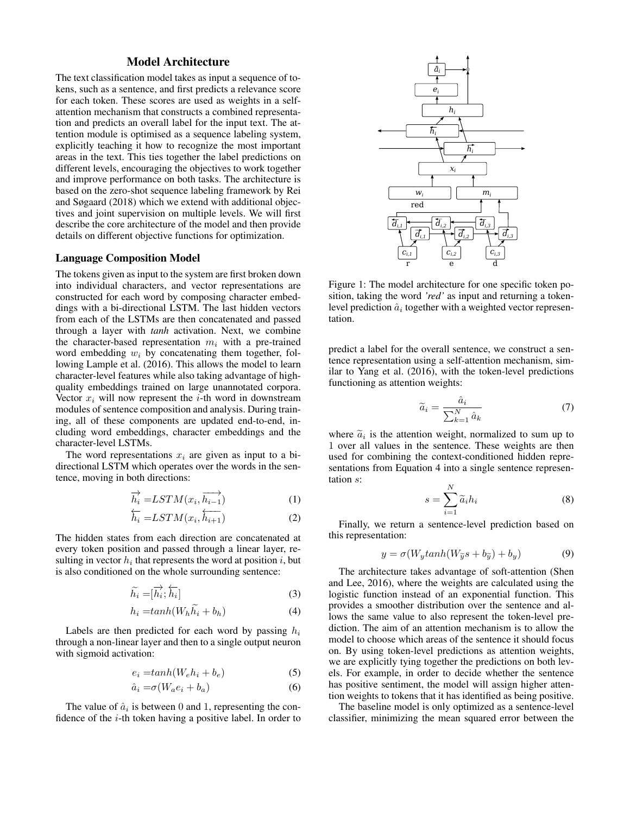# Model Architecture

The text classification model takes as input a sequence of tokens, such as a sentence, and first predicts a relevance score for each token. These scores are used as weights in a selfattention mechanism that constructs a combined representation and predicts an overall label for the input text. The attention module is optimised as a sequence labeling system, explicitly teaching it how to recognize the most important areas in the text. This ties together the label predictions on different levels, encouraging the objectives to work together and improve performance on both tasks. The architecture is based on the zero-shot sequence labeling framework by [Rei](#page-7-10) [and Søgaard](#page-7-10) [\(2018\)](#page-7-10) which we extend with additional objectives and joint supervision on multiple levels. We will first describe the core architecture of the model and then provide details on different objective functions for optimization.

### Language Composition Model

The tokens given as input to the system are first broken down into individual characters, and vector representations are constructed for each word by composing character embeddings with a bi-directional LSTM. The last hidden vectors from each of the LSTMs are then concatenated and passed through a layer with *tanh* activation. Next, we combine the character-based representation  $m_i$  with a pre-trained word embedding  $w_i$  by concatenating them together, following [Lample et al.](#page-7-11) [\(2016\)](#page-7-11). This allows the model to learn character-level features while also taking advantage of highquality embeddings trained on large unannotated corpora. Vector  $x_i$  will now represent the *i*-th word in downstream modules of sentence composition and analysis. During training, all of these components are updated end-to-end, including word embeddings, character embeddings and the character-level LSTMs.

The word representations  $x_i$  are given as input to a bidirectional LSTM which operates over the words in the sentence, moving in both directions:

$$
\overrightarrow{h_i} = LSTM(x_i, \overrightarrow{h_{i-1}}) \tag{1}
$$

$$
\overleftarrow{h_i} = LSTM(x_i, \overleftarrow{h_{i+1}})
$$
\n(2)

The hidden states from each direction are concatenated at every token position and passed through a linear layer, resulting in vector  $h_i$  that represents the word at position i, but is also conditioned on the whole surrounding sentence:

$$
\widetilde{h_i} = [\overrightarrow{h_i}; \overleftarrow{h_i}] \tag{3}
$$

$$
h_i = \tanh(W_h \ddot{h_i} + b_h) \tag{4}
$$

Labels are then predicted for each word by passing  $h_i$ through a non-linear layer and then to a single output neuron with sigmoid activation:

$$
e_i = \tanh(W_e h_i + b_e) \tag{5}
$$

$$
\hat{a}_i = \sigma(W_a e_i + b_a) \tag{6}
$$

The value of  $\hat{a}_i$  is between 0 and 1, representing the confidence of the i-th token having a positive label. In order to



Figure 1: The model architecture for one specific token position, taking the word *'red'* as input and returning a tokenlevel prediction  $\hat{a}_i$  together with a weighted vector representation.

predict a label for the overall sentence, we construct a sentence representation using a self-attention mechanism, similar to [Yang et al.](#page-7-8) [\(2016\)](#page-7-8), with the token-level predictions functioning as attention weights:

$$
\widetilde{a}_i = \frac{\widehat{a}_i}{\sum_{k=1}^N \widehat{a}_k} \tag{7}
$$

where  $\tilde{a}_i$  is the attention weight, normalized to sum up to 1 over all values in the sentence. These weights are then 1 over all values in the sentence. These weights are then used for combining the context-conditioned hidden representations from Equation [4](#page-1-0) into a single sentence representation s:

$$
s = \sum_{i=1}^{N} \widetilde{a}_i h_i \tag{8}
$$

Finally, we return a sentence-level prediction based on this representation:

$$
y = \sigma(W_y \tanh(W_{\widetilde{y}}s + b_{\widetilde{y}}) + b_y) \tag{9}
$$

<span id="page-1-0"></span>The architecture takes advantage of soft-attention [\(Shen](#page-7-12) [and Lee, 2016\)](#page-7-12), where the weights are calculated using the logistic function instead of an exponential function. This provides a smoother distribution over the sentence and allows the same value to also represent the token-level prediction. The aim of an attention mechanism is to allow the model to choose which areas of the sentence it should focus on. By using token-level predictions as attention weights, we are explicitly tying together the predictions on both levels. For example, in order to decide whether the sentence has positive sentiment, the model will assign higher attention weights to tokens that it has identified as being positive.

The baseline model is only optimized as a sentence-level classifier, minimizing the mean squared error between the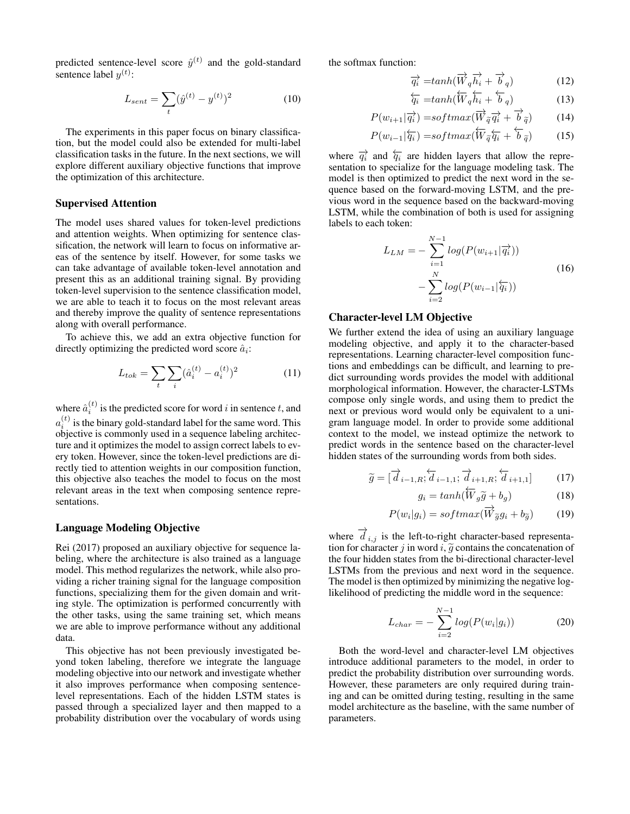predicted sentence-level score  $\hat{y}^{(t)}$  and the gold-standard sentence label  $y^{(t)}$ :

$$
L_{sent} = \sum_{t} (\hat{y}^{(t)} - y^{(t)})^2
$$
 (10)

The experiments in this paper focus on binary classification, but the model could also be extended for multi-label classification tasks in the future. In the next sections, we will explore different auxiliary objective functions that improve the optimization of this architecture.

#### Supervised Attention

The model uses shared values for token-level predictions and attention weights. When optimizing for sentence classification, the network will learn to focus on informative areas of the sentence by itself. However, for some tasks we can take advantage of available token-level annotation and present this as an additional training signal. By providing token-level supervision to the sentence classification model, we are able to teach it to focus on the most relevant areas and thereby improve the quality of sentence representations along with overall performance.

To achieve this, we add an extra objective function for directly optimizing the predicted word score  $\hat{a}_i$ :

$$
L_{tok} = \sum_{t} \sum_{i} (\hat{a}_i^{(t)} - a_i^{(t)})^2
$$
 (11)

where  $\hat{a}_i^{(t)}$  is the predicted score for word i in sentence t, and  $a_i^{(t)}$  is the binary gold-standard label for the same word. This objective is commonly used in a sequence labeling architecture and it optimizes the model to assign correct labels to every token. However, since the token-level predictions are directly tied to attention weights in our composition function, this objective also teaches the model to focus on the most relevant areas in the text when composing sentence representations.

#### Language Modeling Objective

[Rei](#page-7-13) [\(2017\)](#page-7-13) proposed an auxiliary objective for sequence labeling, where the architecture is also trained as a language model. This method regularizes the network, while also providing a richer training signal for the language composition functions, specializing them for the given domain and writing style. The optimization is performed concurrently with the other tasks, using the same training set, which means we are able to improve performance without any additional data.

This objective has not been previously investigated beyond token labeling, therefore we integrate the language modeling objective into our network and investigate whether it also improves performance when composing sentencelevel representations. Each of the hidden LSTM states is passed through a specialized layer and then mapped to a probability distribution over the vocabulary of words using

the softmax function:

$$
\overrightarrow{q_i} = \tanh(\overrightarrow{W}_q \overrightarrow{h_i} + \overrightarrow{b}_q) \tag{12}
$$

$$
\overleftarrow{q_i} = \tanh(\overleftarrow{W}_q \overleftarrow{h_i} + \overleftarrow{b}_q) \tag{13}
$$

$$
P(w_{i+1}|\overrightarrow{q_i}) = softmax(\overrightarrow{W}_{\widetilde{q}}\overrightarrow{q_i} + \overrightarrow{b}_{\widetilde{q}})
$$
 (14)

$$
P(w_{i-1}|\overleftarrow{q_i}) = softmax(\overleftarrow{W}_{\widetilde{q}}\overleftarrow{q_i} + \overleftarrow{b}_{\widetilde{q}})
$$
(15)

where  $\overrightarrow{q_i}$  and  $\overleftarrow{q_i}$  are hidden layers that allow the representation to specialize for the language modeling task. The model is then optimized to predict the next word in the sequence based on the forward-moving LSTM, and the previous word in the sequence based on the backward-moving LSTM, while the combination of both is used for assigning labels to each token:

$$
L_{LM} = -\sum_{i=1}^{N-1} log(P(w_{i+1}|\overrightarrow{q_i})) - \sum_{i=2}^{N} log(P(w_{i-1}|\overleftarrow{q_i}))
$$
\n(16)

### Character-level LM Objective

We further extend the idea of using an auxiliary language modeling objective, and apply it to the character-based representations. Learning character-level composition functions and embeddings can be difficult, and learning to predict surrounding words provides the model with additional morphological information. However, the character-LSTMs compose only single words, and using them to predict the next or previous word would only be equivalent to a unigram language model. In order to provide some additional context to the model, we instead optimize the network to predict words in the sentence based on the character-level hidden states of the surrounding words from both sides.

$$
\widetilde{g} = [\overrightarrow{d}_{i-1,R}; \overleftarrow{d}_{i-1,1}; \overrightarrow{d}_{i+1,R}; \overleftarrow{d}_{i+1,1}]
$$
\n(17)

$$
g_i = \tanh(\overleftarrow{W}_g \widetilde{g} + b_g) \tag{18}
$$

$$
P(w_i|g_i) = softmax(\overrightarrow{W}_{\widetilde{g}}g_i + b_{\widetilde{g}})
$$
 (19)

where  $\overrightarrow{d}_{i,j}$  is the left-to-right character-based representation for character j in word  $i$ ,  $\tilde{g}$  contains the concatenation of the four hidden states from the bi-directional character-level LSTMs from the previous and next word in the sequence. The model is then optimized by minimizing the negative loglikelihood of predicting the middle word in the sequence:

$$
L_{char} = -\sum_{i=2}^{N-1} log(P(w_i|g_i))
$$
 (20)

Both the word-level and character-level LM objectives introduce additional parameters to the model, in order to predict the probability distribution over surrounding words. However, these parameters are only required during training and can be omitted during testing, resulting in the same model architecture as the baseline, with the same number of parameters.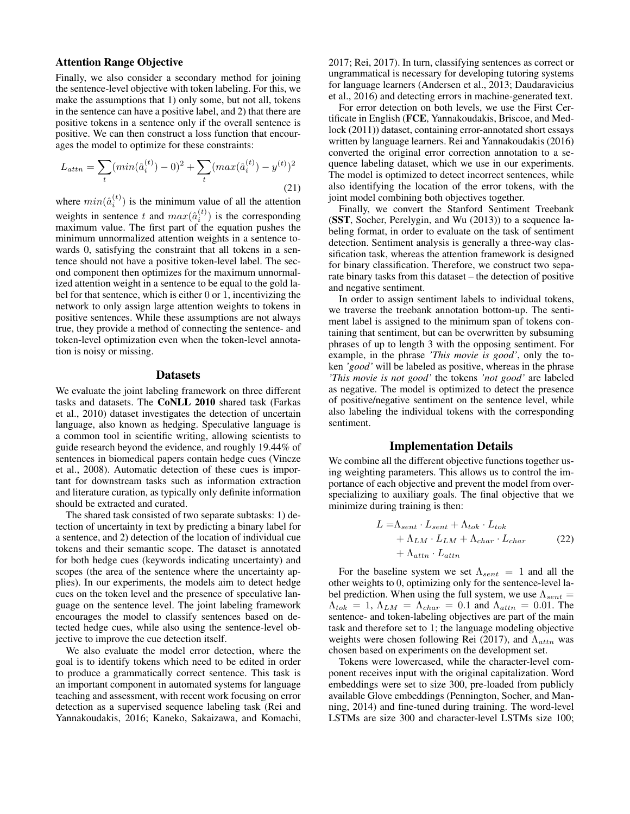### Attention Range Objective

Finally, we also consider a secondary method for joining the sentence-level objective with token labeling. For this, we make the assumptions that 1) only some, but not all, tokens in the sentence can have a positive label, and 2) that there are positive tokens in a sentence only if the overall sentence is positive. We can then construct a loss function that encourages the model to optimize for these constraints:

$$
L_{attn} = \sum_{t} (min(\hat{a}_i^{(t)}) - 0)^2 + \sum_{t} (max(\hat{a}_i^{(t)}) - y^{(t)})^2
$$
\n(21)

where  $min(\hat{a}_i^{(t)})$  is the minimum value of all the attention weights in sentence t and  $max(\hat{a}_i^{(t)})$  is the corresponding maximum value. The first part of the equation pushes the minimum unnormalized attention weights in a sentence towards 0, satisfying the constraint that all tokens in a sentence should not have a positive token-level label. The second component then optimizes for the maximum unnormalized attention weight in a sentence to be equal to the gold label for that sentence, which is either 0 or 1, incentivizing the network to only assign large attention weights to tokens in positive sentences. While these assumptions are not always true, they provide a method of connecting the sentence- and token-level optimization even when the token-level annotation is noisy or missing.

#### **Datasets**

We evaluate the joint labeling framework on three different tasks and datasets. The CoNLL 2010 shared task [\(Farkas](#page-7-14) [et al., 2010\)](#page-7-14) dataset investigates the detection of uncertain language, also known as hedging. Speculative language is a common tool in scientific writing, allowing scientists to guide research beyond the evidence, and roughly 19.44% of sentences in biomedical papers contain hedge cues [\(Vincze](#page-7-15) [et al., 2008\)](#page-7-15). Automatic detection of these cues is important for downstream tasks such as information extraction and literature curation, as typically only definite information should be extracted and curated.

The shared task consisted of two separate subtasks: 1) detection of uncertainty in text by predicting a binary label for a sentence, and 2) detection of the location of individual cue tokens and their semantic scope. The dataset is annotated for both hedge cues (keywords indicating uncertainty) and scopes (the area of the sentence where the uncertainty applies). In our experiments, the models aim to detect hedge cues on the token level and the presence of speculative language on the sentence level. The joint labeling framework encourages the model to classify sentences based on detected hedge cues, while also using the sentence-level objective to improve the cue detection itself.

We also evaluate the model error detection, where the goal is to identify tokens which need to be edited in order to produce a grammatically correct sentence. This task is an important component in automated systems for language teaching and assessment, with recent work focusing on error detection as a supervised sequence labeling task [\(Rei and](#page-7-16) [Yannakoudakis, 2016;](#page-7-16) [Kaneko, Sakaizawa, and Komachi,](#page-7-17)

[2017;](#page-7-17) [Rei, 2017\)](#page-7-13). In turn, classifying sentences as correct or ungrammatical is necessary for developing tutoring systems for language learners [\(Andersen et al., 2013;](#page-6-1) [Daudaravicius](#page-7-18) [et al., 2016\)](#page-7-18) and detecting errors in machine-generated text.

For error detection on both levels, we use the First Certificate in English (FCE, [Yannakoudakis, Briscoe, and Med](#page-7-19)[lock](#page-7-19) [\(2011\)](#page-7-19)) dataset, containing error-annotated short essays written by language learners. [Rei and Yannakoudakis](#page-7-16) [\(2016\)](#page-7-16) converted the original error correction annotation to a sequence labeling dataset, which we use in our experiments. The model is optimized to detect incorrect sentences, while also identifying the location of the error tokens, with the joint model combining both objectives together.

Finally, we convert the Stanford Sentiment Treebank (SST, [Socher, Perelygin, and Wu](#page-7-20) [\(2013\)](#page-7-20)) to a sequence labeling format, in order to evaluate on the task of sentiment detection. Sentiment analysis is generally a three-way classification task, whereas the attention framework is designed for binary classification. Therefore, we construct two separate binary tasks from this dataset – the detection of positive and negative sentiment.

In order to assign sentiment labels to individual tokens, we traverse the treebank annotation bottom-up. The sentiment label is assigned to the minimum span of tokens containing that sentiment, but can be overwritten by subsuming phrases of up to length 3 with the opposing sentiment. For example, in the phrase *'This movie is good'*, only the token *'good'* will be labeled as positive, whereas in the phrase *'This movie is not good'* the tokens *'not good'* are labeled as negative. The model is optimized to detect the presence of positive/negative sentiment on the sentence level, while also labeling the individual tokens with the corresponding sentiment.

### Implementation Details

We combine all the different objective functions together using weighting parameters. This allows us to control the importance of each objective and prevent the model from overspecializing to auxiliary goals. The final objective that we minimize during training is then:

$$
L = \Lambda_{sent} \cdot L_{sent} + \Lambda_{tok} \cdot L_{tok} + \Lambda_{LM} \cdot L_{LM} + \Lambda_{char} \cdot L_{char}
$$
 (22)  
+  $\Lambda_{attn} \cdot L_{attn}$ 

For the baseline system we set  $\Lambda_{sent} = 1$  and all the other weights to 0, optimizing only for the sentence-level label prediction. When using the full system, we use  $\Lambda_{sent}$  =  $\Lambda_{tok} = 1$ ,  $\Lambda_{LM} = \Lambda_{char} = 0.1$  and  $\Lambda_{attn} = 0.01$ . The sentence- and token-labeling objectives are part of the main task and therefore set to 1; the language modeling objective weights were chosen following [Rei](#page-7-13) [\(2017\)](#page-7-13), and  $\Lambda_{attn}$  was chosen based on experiments on the development set.

Tokens were lowercased, while the character-level component receives input with the original capitalization. Word embeddings were set to size 300, pre-loaded from publicly available Glove embeddings [\(Pennington, Socher, and Man](#page-7-21)[ning, 2014\)](#page-7-21) and fine-tuned during training. The word-level LSTMs are size 300 and character-level LSTMs size 100;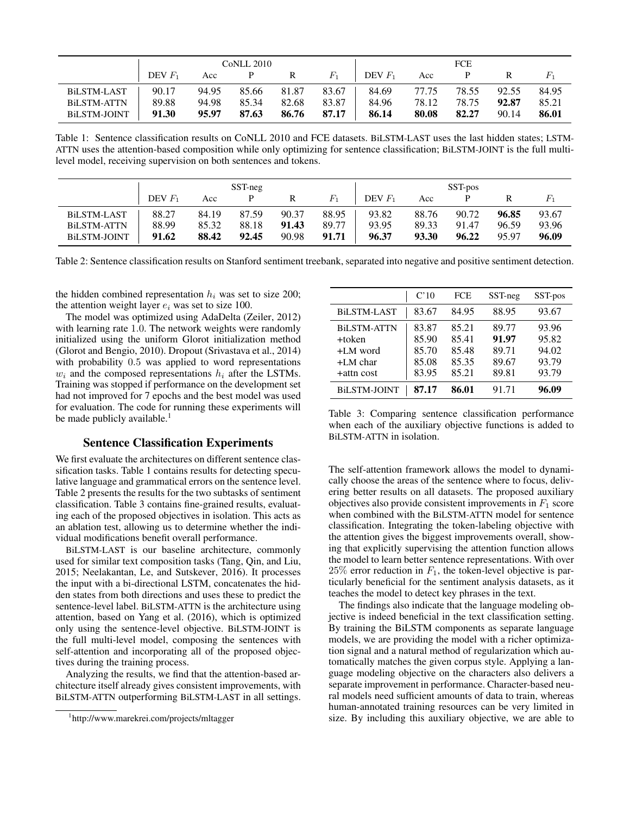|                    | CoNLL 2010 |       |       |       |                         | <b>FCE</b>       |       |       |               |        |  |
|--------------------|------------|-------|-------|-------|-------------------------|------------------|-------|-------|---------------|--------|--|
|                    | DEV $F_1$  |       |       |       | Acc P R $F_1$           | $\Box$ DEV $F_1$ |       |       | Acc P R $F_1$ |        |  |
| BiLSTM-LAST        | 90.17      |       |       |       | 94.95 85.66 81.87 83.67 | 84.69            | 77.75 | 78.55 | 92.55         | 84.95  |  |
| <b>BILSTM-ATTN</b> | 89.88      | 94.98 | 85.34 | 82.68 | 83.87                   | 84.96            | 78.12 | 78.75 | 92.87         | 85.21  |  |
| BILSTM-JOINT       | 91.30      | 95.97 |       |       | 87.63 86.76 87.17       | 86.14            | 80.08 | 82.27 | 90.14         | -86.01 |  |

<span id="page-4-1"></span>Table 1: Sentence classification results on CoNLL 2010 and FCE datasets. BiLSTM-LAST uses the last hidden states; LSTM-ATTN uses the attention-based composition while only optimizing for sentence classification; BiLSTM-JOINT is the full multilevel model, receiving supervision on both sentences and tokens.

|                     | SST-neg   |       |       |       | SST-pos |           |       |       |       |       |
|---------------------|-----------|-------|-------|-------|---------|-----------|-------|-------|-------|-------|
|                     | DEV $F_1$ | Acc   |       |       | $F_1$   | DEV $F_1$ | Acc   |       |       |       |
| <b>BiLSTM-LAST</b>  | 88.27     | 84.19 | 87.59 | 90.37 | 88.95   | 93.82     | 88.76 | 90.72 | 96.85 | 93.67 |
| <b>BiLSTM-ATTN</b>  | 88.99     | 85.32 | 88.18 | 91.43 | 89.77   | 93.95     | 89.33 | 91.47 | 96.59 | 93.96 |
| <b>BILSTM-JOINT</b> | 91.62     | 88.42 | 92.45 | 90.98 | 91.71   | 96.37     | 93.30 | 96.22 | 95.97 | 96.09 |

<span id="page-4-2"></span>Table 2: Sentence classification results on Stanford sentiment treebank, separated into negative and positive sentiment detection.

the hidden combined representation  $h_i$  was set to size 200; the attention weight layer  $e_i$  was set to size 100.

The model was optimized using AdaDelta [\(Zeiler, 2012\)](#page-7-22) with learning rate 1.0. The network weights were randomly initialized using the uniform Glorot initialization method [\(Glorot and Bengio, 2010\)](#page-7-23). Dropout [\(Srivastava et al., 2014\)](#page-7-24) with probability 0.5 was applied to word representations  $w_i$  and the composed representations  $h_i$  after the LSTMs. Training was stopped if performance on the development set had not improved for 7 epochs and the best model was used for evaluation. The code for running these experiments will be made publicly available.<sup>[1](#page-4-0)</sup>

# Sentence Classification Experiments

We first evaluate the architectures on different sentence classification tasks. Table [1](#page-4-1) contains results for detecting speculative language and grammatical errors on the sentence level. Table [2](#page-4-2) presents the results for the two subtasks of sentiment classification. Table [3](#page-4-3) contains fine-grained results, evaluating each of the proposed objectives in isolation. This acts as an ablation test, allowing us to determine whether the individual modifications benefit overall performance.

BiLSTM-LAST is our baseline architecture, commonly used for similar text composition tasks [\(Tang, Qin, and Liu,](#page-7-25) [2015;](#page-7-25) [Neelakantan, Le, and Sutskever, 2016\)](#page-7-26). It processes the input with a bi-directional LSTM, concatenates the hidden states from both directions and uses these to predict the sentence-level label. BiLSTM-ATTN is the architecture using attention, based on [Yang et al.](#page-7-8) [\(2016\)](#page-7-8), which is optimized only using the sentence-level objective. BiLSTM-JOINT is the full multi-level model, composing the sentences with self-attention and incorporating all of the proposed objectives during the training process.

Analyzing the results, we find that the attention-based architecture itself already gives consistent improvements, with BiLSTM-ATTN outperforming BiLSTM-LAST in all settings.

|                                                                      | C'10                                      | <b>FCE</b>                                | SST-neg                                   | SST-pos                                   |
|----------------------------------------------------------------------|-------------------------------------------|-------------------------------------------|-------------------------------------------|-------------------------------------------|
| <b>BILSTM-LAST</b>                                                   | 83.67                                     | 84.95                                     | 88.95                                     | 93.67                                     |
| <b>BiLSTM-ATTN</b><br>+token<br>+LM word<br>$+LM$ char<br>+attn cost | 83.87<br>85.90<br>85.70<br>85.08<br>83.95 | 85.21<br>85.41<br>85.48<br>85.35<br>85.21 | 89.77<br>91.97<br>89.71<br>89.67<br>89.81 | 93.96<br>95.82<br>94.02<br>93.79<br>93.79 |
| <b>BiLSTM-JOINT</b>                                                  | 87.17                                     | 86.01                                     | 91.71                                     | 96.09                                     |

<span id="page-4-3"></span>Table 3: Comparing sentence classification performance when each of the auxiliary objective functions is added to BiLSTM-ATTN in isolation.

The self-attention framework allows the model to dynamically choose the areas of the sentence where to focus, delivering better results on all datasets. The proposed auxiliary objectives also provide consistent improvements in  $F_1$  score when combined with the BiLSTM-ATTN model for sentence classification. Integrating the token-labeling objective with the attention gives the biggest improvements overall, showing that explicitly supervising the attention function allows the model to learn better sentence representations. With over  $25\%$  error reduction in  $F_1$ , the token-level objective is particularly beneficial for the sentiment analysis datasets, as it teaches the model to detect key phrases in the text.

The findings also indicate that the language modeling objective is indeed beneficial in the text classification setting. By training the BiLSTM components as separate language models, we are providing the model with a richer optimization signal and a natural method of regularization which automatically matches the given corpus style. Applying a language modeling objective on the characters also delivers a separate improvement in performance. Character-based neural models need sufficient amounts of data to train, whereas human-annotated training resources can be very limited in size. By including this auxiliary objective, we are able to

<span id="page-4-0"></span><sup>1</sup> http://www.marekrei.com/projects/mltagger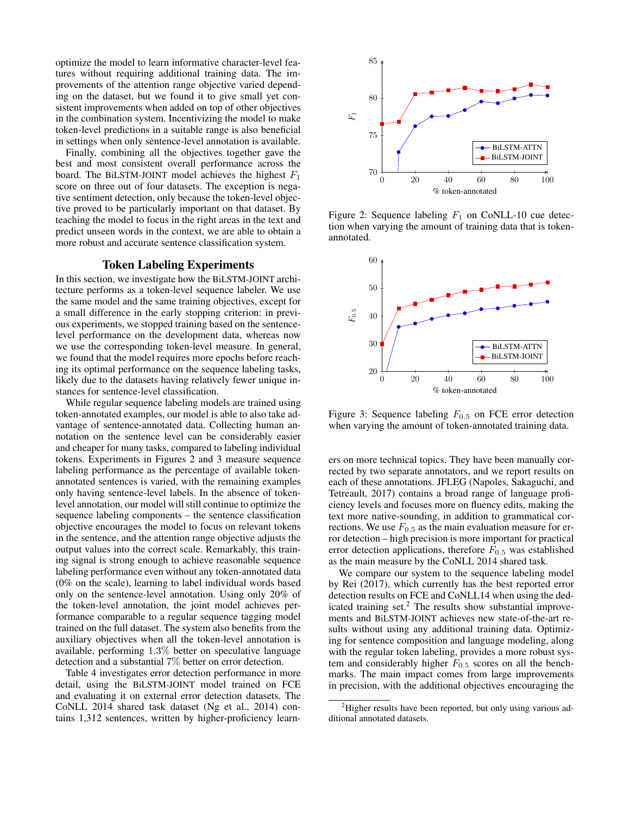optimize the model to learn informative character-level features without requiring additional training data. The improvements of the attention range objective varied depending on the dataset, but we found it to give small yet consistent improvements when added on top of other objectives in the combination system. Incentivizing the model to make token-level predictions in a suitable range is also beneficial in settings when only sentence-level annotation is available.

Finally, combining all the objectives together gave the best and most consistent overall performance across the board. The BiLSTM-JOINT model achieves the highest  $F_1$ score on three out of four datasets. The exception is negative sentiment detection, only because the token-level objective proved to be particularly important on that dataset. By teaching the model to focus in the right areas in the text and predict unseen words in the context, we are able to obtain a more robust and accurate sentence classification system.

### Token Labeling Experiments

In this section, we investigate how the BiLSTM-JOINT architecture performs as a token-level sequence labeler. We use the same model and the same training objectives, except for a small difference in the early stopping criterion: in previous experiments, we stopped training based on the sentencelevel performance on the development data, whereas now we use the corresponding token-level measure. In general, we found that the model requires more epochs before reaching its optimal performance on the sequence labeling tasks, likely due to the datasets having relatively fewer unique instances for sentence-level classification.

While regular sequence labeling models are trained using token-annotated examples, our model is able to also take advantage of sentence-annotated data. Collecting human annotation on the sentence level can be considerably easier and cheaper for many tasks, compared to labeling individual tokens. Experiments in Figures [2](#page-5-0) and [3](#page-5-1) measure sequence labeling performance as the percentage of available tokenannotated sentences is varied, with the remaining examples only having sentence-level labels. In the absence of tokenlevel annotation, our model will still continue to optimize the sequence labeling components – the sentence classification objective encourages the model to focus on relevant tokens in the sentence, and the attention range objective adjusts the output values into the correct scale. Remarkably, this training signal is strong enough to achieve reasonable sequence labeling performance even without any token-annotated data (0% on the scale), learning to label individual words based only on the sentence-level annotation. Using only 20% of the token-level annotation, the joint model achieves performance comparable to a regular sequence tagging model trained on the full dataset. The system also benefits from the auxiliary objectives when all the token-level annotation is available, performing 1.3% better on speculative language detection and a substantial 7% better on error detection.

Table [4](#page-6-2) investigates error detection performance in more detail, using the BiLSTM-JOINT model trained on FCE and evaluating it on external error detection datasets. The CoNLL 2014 shared task dataset [\(Ng et al., 2014\)](#page-7-27) contains 1,312 sentences, written by higher-proficiency learn-



<span id="page-5-0"></span>Figure 2: Sequence labeling  $F_1$  on CoNLL-10 cue detection when varying the amount of training data that is tokenannotated.



<span id="page-5-1"></span>Figure 3: Sequence labeling  $F_{0.5}$  on FCE error detection when varying the amount of token-annotated training data.

ers on more technical topics. They have been manually corrected by two separate annotators, and we report results on each of these annotations. JFLEG [\(Napoles, Sakaguchi, and](#page-7-28) [Tetreault, 2017\)](#page-7-28) contains a broad range of language proficiency levels and focuses more on fluency edits, making the text more native-sounding, in addition to grammatical corrections. We use  $F_{0.5}$  as the main evaluation measure for error detection – high precision is more important for practical error detection applications, therefore  $F_{0.5}$  was established as the main measure by the CoNLL 2014 shared task.

We compare our system to the sequence labeling model by [Rei](#page-7-13) [\(2017\)](#page-7-13), which currently has the best reported error detection results on FCE and CoNLL14 when using the ded-icated training set.<sup>[2](#page-5-2)</sup> The results show substantial improvements and BiLSTM-JOINT achieves new state-of-the-art results without using any additional training data. Optimizing for sentence composition and language modeling, along with the regular token labeling, provides a more robust system and considerably higher  $F_{0.5}$  scores on all the benchmarks. The main impact comes from large improvements in precision, with the additional objectives encouraging the

<span id="page-5-2"></span><sup>&</sup>lt;sup>2</sup>Higher results have been reported, but only using various additional annotated datasets.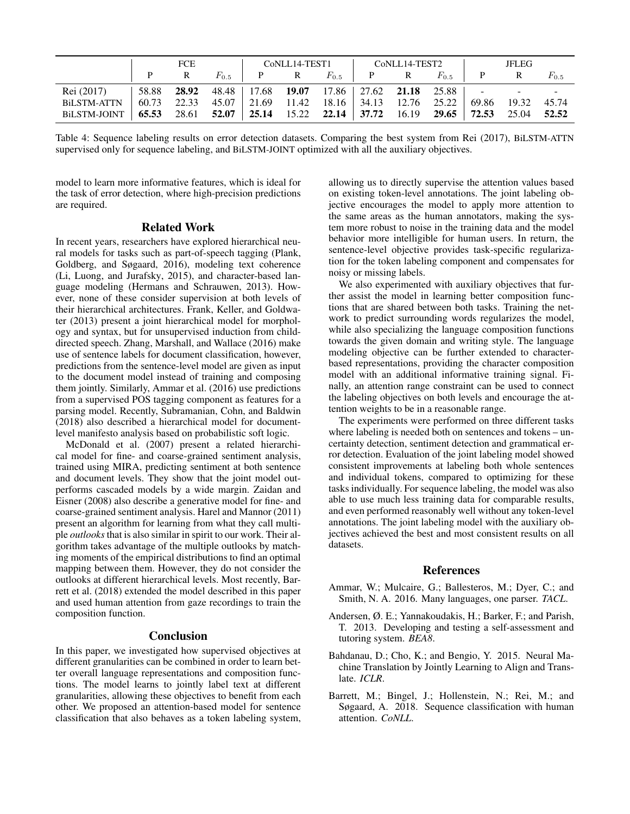|                                                                                        | FCE |              |                                                                                          |  |  |  | CoNLL14-TEST1 CoNLL14-TEST2 I |  |                                                 | JFLEG |  |           |
|----------------------------------------------------------------------------------------|-----|--------------|------------------------------------------------------------------------------------------|--|--|--|-------------------------------|--|-------------------------------------------------|-------|--|-----------|
|                                                                                        |     | $\mathbf{R}$ |                                                                                          |  |  |  |                               |  | $F_{0.5}$   P R $F_{0.5}$   P R $F_{0.5}$   P R |       |  | $F_{0.5}$ |
| Rei (2017)                                                                             |     |              | 58.88 <b>28.92</b> 48.48   17.68 <b>19.07</b> 17.86   27.62 <b>21.18</b> 25.88   - - - - |  |  |  |                               |  |                                                 |       |  |           |
| <b>BiLSTM-ATTN</b>                                                                     |     |              |                                                                                          |  |  |  |                               |  |                                                 |       |  |           |
| BILSTM-JOINT   65.53 28.61 52.07   25.14 15.22 22.14   37.72 16.19 29.65   72.53 25.04 |     |              |                                                                                          |  |  |  |                               |  |                                                 |       |  | 52.52     |

<span id="page-6-2"></span>Table 4: Sequence labeling results on error detection datasets. Comparing the best system from [Rei](#page-7-13) [\(2017\)](#page-7-13), BiLSTM-ATTN supervised only for sequence labeling, and BiLSTM-JOINT optimized with all the auxiliary objectives.

model to learn more informative features, which is ideal for the task of error detection, where high-precision predictions are required.

#### Related Work

In recent years, researchers have explored hierarchical neural models for tasks such as part-of-speech tagging [\(Plank,](#page-7-29) [Goldberg, and Søgaard, 2016\)](#page-7-29), modeling text coherence [\(Li, Luong, and Jurafsky, 2015\)](#page-7-30), and character-based language modeling [\(Hermans and Schrauwen, 2013\)](#page-7-31). However, none of these consider supervision at both levels of their hierarchical architectures. [Frank, Keller, and Goldwa](#page-7-32)[ter](#page-7-32) [\(2013\)](#page-7-32) present a joint hierarchical model for morphology and syntax, but for unsupervised induction from childdirected speech. [Zhang, Marshall, and Wallace](#page-7-33) [\(2016\)](#page-7-33) make use of sentence labels for document classification, however, predictions from the sentence-level model are given as input to the document model instead of training and composing them jointly. Similarly, [Ammar et al.](#page-6-3) [\(2016\)](#page-6-3) use predictions from a supervised POS tagging component as features for a parsing model. Recently, [Subramanian, Cohn, and Baldwin](#page-7-34) [\(2018\)](#page-7-34) also described a hierarchical model for documentlevel manifesto analysis based on probabilistic soft logic.

[McDonald et al.](#page-7-35) [\(2007\)](#page-7-35) present a related hierarchical model for fine- and coarse-grained sentiment analysis, trained using MIRA, predicting sentiment at both sentence and document levels. They show that the joint model outperforms cascaded models by a wide margin. [Zaidan and](#page-7-36) [Eisner](#page-7-36) [\(2008\)](#page-7-36) also describe a generative model for fine- and coarse-grained sentiment analysis. [Harel and Mannor](#page-7-37) [\(2011\)](#page-7-37) present an algorithm for learning from what they call multiple *outlooks*that is also similar in spirit to our work. Their algorithm takes advantage of the multiple outlooks by matching moments of the empirical distributions to find an optimal mapping between them. However, they do not consider the outlooks at different hierarchical levels. Most recently, [Bar](#page-6-4)[rett et al.](#page-6-4) [\(2018\)](#page-6-4) extended the model described in this paper and used human attention from gaze recordings to train the composition function.

#### Conclusion

In this paper, we investigated how supervised objectives at different granularities can be combined in order to learn better overall language representations and composition functions. The model learns to jointly label text at different granularities, allowing these objectives to benefit from each other. We proposed an attention-based model for sentence classification that also behaves as a token labeling system,

allowing us to directly supervise the attention values based on existing token-level annotations. The joint labeling objective encourages the model to apply more attention to the same areas as the human annotators, making the system more robust to noise in the training data and the model behavior more intelligible for human users. In return, the sentence-level objective provides task-specific regularization for the token labeling component and compensates for noisy or missing labels.

We also experimented with auxiliary objectives that further assist the model in learning better composition functions that are shared between both tasks. Training the network to predict surrounding words regularizes the model, while also specializing the language composition functions towards the given domain and writing style. The language modeling objective can be further extended to characterbased representations, providing the character composition model with an additional informative training signal. Finally, an attention range constraint can be used to connect the labeling objectives on both levels and encourage the attention weights to be in a reasonable range.

The experiments were performed on three different tasks where labeling is needed both on sentences and tokens – uncertainty detection, sentiment detection and grammatical error detection. Evaluation of the joint labeling model showed consistent improvements at labeling both whole sentences and individual tokens, compared to optimizing for these tasks individually. For sequence labeling, the model was also able to use much less training data for comparable results, and even performed reasonably well without any token-level annotations. The joint labeling model with the auxiliary objectives achieved the best and most consistent results on all datasets.

#### **References**

- <span id="page-6-3"></span>Ammar, W.; Mulcaire, G.; Ballesteros, M.; Dyer, C.; and Smith, N. A. 2016. Many languages, one parser. *TACL*.
- <span id="page-6-1"></span>Andersen, Ø. E.; Yannakoudakis, H.; Barker, F.; and Parish, T. 2013. Developing and testing a self-assessment and tutoring system. *BEA8*.
- <span id="page-6-0"></span>Bahdanau, D.; Cho, K.; and Bengio, Y. 2015. Neural Machine Translation by Jointly Learning to Align and Translate. *ICLR*.
- <span id="page-6-4"></span>Barrett, M.; Bingel, J.; Hollenstein, N.; Rei, M.; and Søgaard, A. 2018. Sequence classification with human attention. *CoNLL*.